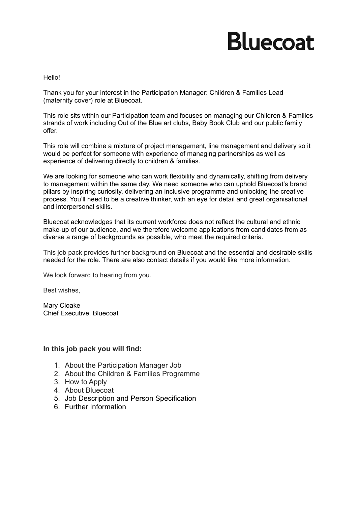# **Bluecoat**

Hello!

Thank you for your interest in the Participation Manager: Children & Families Lead (maternity cover) role at Bluecoat.

This role sits within our Participation team and focuses on managing our Children & Families strands of work including Out of the Blue art clubs, Baby Book Club and our public family offer.

This role will combine a mixture of project management, line management and delivery so it would be perfect for someone with experience of managing partnerships as well as experience of delivering directly to children & families.

We are looking for someone who can work flexibility and dynamically, shifting from delivery to management within the same day. We need someone who can uphold Bluecoat's brand pillars by inspiring curiosity, delivering an inclusive programme and unlocking the creative process. You'll need to be a creative thinker, with an eye for detail and great organisational and interpersonal skills.

Bluecoat acknowledges that its current workforce does not reflect the cultural and ethnic make-up of our audience, and we therefore welcome applications from candidates from as diverse a range of backgrounds as possible, who meet the required criteria.

This job pack provides further background on Bluecoat and the essential and desirable skills needed for the role. There are also contact details if you would like more information.

We look forward to hearing from you.

Best wishes,

Mary Cloake Chief Executive, Bluecoat

#### **In this job pack you will find:**

- 1. About the Participation Manager Job
- 2. About the Children & Families Programme
- 3. How to Apply
- 4. About Bluecoat
- 5. Job Description and Person Specification
- 6. Further Information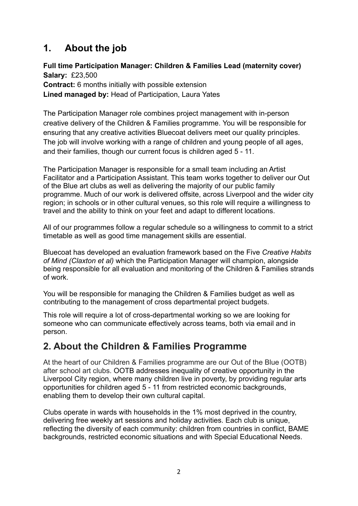## **1. About the job**

## **Full time Participation Manager: Children & Families Lead (maternity cover) Salary:** £23,500

**Contract:** 6 months initially with possible extension **Lined managed by:** Head of Participation, Laura Yates

The Participation Manager role combines project management with in-person creative delivery of the Children & Families programme. You will be responsible for ensuring that any creative activities Bluecoat delivers meet our quality principles. The job will involve working with a range of children and young people of all ages, and their families, though our current focus is children aged 5 - 11.

The Participation Manager is responsible for a small team including an Artist Facilitator and a Participation Assistant. This team works together to deliver our Out of the Blue art clubs as well as delivering the majority of our public family programme. Much of our work is delivered offsite, across Liverpool and the wider city region; in schools or in other cultural venues, so this role will require a willingness to travel and the ability to think on your feet and adapt to different locations.

All of our programmes follow a regular schedule so a willingness to commit to a strict timetable as well as good time management skills are essential.

Bluecoat has developed an evaluation framework based on the Five *Creative Habits of Mind (Claxton et al)* which the Participation Manager will champion, alongside being responsible for all evaluation and monitoring of the Children & Families strands of work.

You will be responsible for managing the Children & Families budget as well as contributing to the management of cross departmental project budgets.

This role will require a lot of cross-departmental working so we are looking for someone who can communicate effectively across teams, both via email and in person.

## **2. About the Children & Families Programme**

At the heart of our Children & Families programme are our Out of the Blue (OOTB) after school art clubs. OOTB addresses inequality of creative opportunity in the Liverpool City region, where many children live in poverty, by providing regular arts opportunities for children aged 5 - 11 from restricted economic backgrounds, enabling them to develop their own cultural capital.

Clubs operate in wards with households in the 1% most deprived in the country, delivering free weekly art sessions and holiday activities. Each club is unique, reflecting the diversity of each community: children from countries in conflict, BAME backgrounds, restricted economic situations and with Special Educational Needs.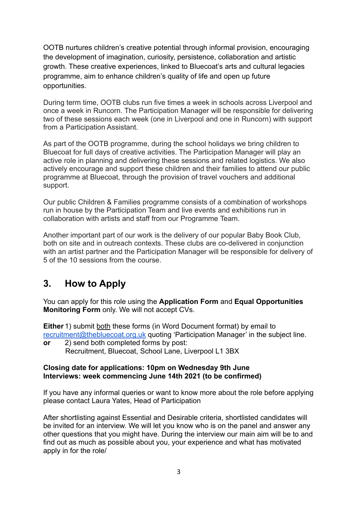OOTB nurtures children's creative potential through informal provision, encouraging the development of imagination, curiosity, persistence, collaboration and artistic growth. These creative experiences, linked to Bluecoat's arts and cultural legacies programme, aim to enhance children's quality of life and open up future opportunities.

During term time, OOTB clubs run five times a week in schools across Liverpool and once a week in Runcorn. The Participation Manager will be responsible for delivering two of these sessions each week (one in Liverpool and one in Runcorn) with support from a Participation Assistant.

As part of the OOTB programme, during the school holidays we bring children to Bluecoat for full days of creative activities. The Participation Manager will play an active role in planning and delivering these sessions and related logistics. We also actively encourage and support these children and their families to attend our public programme at Bluecoat, through the provision of travel vouchers and additional support.

Our public Children & Families programme consists of a combination of workshops run in house by the Participation Team and live events and exhibitions run in collaboration with artists and staff from our Programme Team.

Another important part of our work is the delivery of our popular Baby Book Club, both on site and in outreach contexts. These clubs are co-delivered in conjunction with an artist partner and the Participation Manager will be responsible for delivery of 5 of the 10 sessions from the course.

## **3. How to Apply**

You can apply for this role using the **Application Form** and **Equal Opportunities Monitoring Form** only. We will not accept CVs.

**Either** 1) submit both these forms (in Word Document format) by email to [recruitment@thebluecoat.org.uk](mailto:recruitment@thebluecoat.org.uk) quoting 'Participation Manager' in the subject line.

**or** 2) send both completed forms by post: Recruitment, Bluecoat, School Lane, Liverpool L1 3BX

#### **Closing date for applications: 10pm on Wednesday 9th June Interviews: week commencing June 14th 2021 (to be confirmed)**

If you have any informal queries or want to know more about the role before applying please contact Laura Yates, Head of Participation

After shortlisting against Essential and Desirable criteria, shortlisted candidates will be invited for an interview. We will let you know who is on the panel and answer any other questions that you might have. During the interview our main aim will be to and find out as much as possible about you, your experience and what has motivated apply in for the role/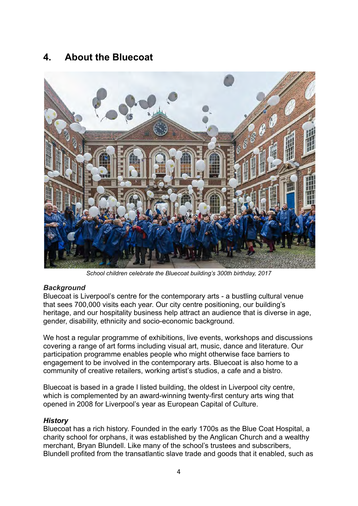## **4. About the Bluecoat**



*School children celebrate the Bluecoat building's 300th birthday, 2017*

#### *Background*

Bluecoat is Liverpool's centre for the contemporary arts - a bustling cultural venue that sees 700,000 visits each year. Our city centre positioning, our building's heritage, and our hospitality business help attract an audience that is diverse in age, gender, disability, ethnicity and socio-economic background.

We host a regular programme of exhibitions, live events, workshops and discussions covering a range of art forms including visual art, music, dance and literature. Our participation programme enables people who might otherwise face barriers to engagement to be involved in the contemporary arts. Bluecoat is also home to a community of creative retailers, working artist's studios, a cafe and a bistro.

Bluecoat is based in a grade I listed building, the oldest in Liverpool city centre, which is complemented by an award-winning twenty-first century arts wing that opened in 2008 for Liverpool's year as European Capital of Culture.

#### *History*

Bluecoat has a rich history. Founded in the early 1700s as the Blue Coat Hospital, a charity school for orphans, it was established by the Anglican Church and a wealthy merchant, Bryan Blundell. Like many of the school's trustees and subscribers, Blundell profited from the transatlantic slave trade and goods that it enabled, such as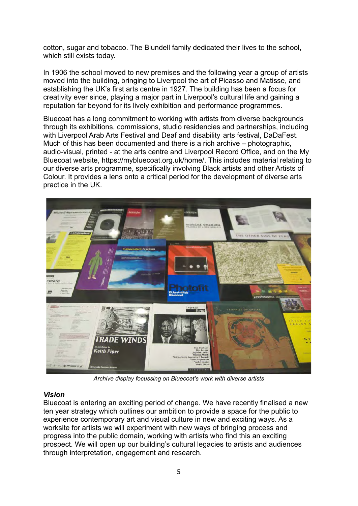cotton, sugar and tobacco. The Blundell family dedicated their lives to the school, which still exists today.

In 1906 the school moved to new premises and the following year a group of artists moved into the building, bringing to Liverpool the art of Picasso and Matisse, and establishing the UK's first arts centre in 1927. The building has been a focus for creativity ever since, playing a major part in Liverpool's cultural life and gaining a reputation far beyond for its lively exhibition and performance programmes.

Bluecoat has a long commitment to working with artists from diverse backgrounds through its exhibitions, commissions, studio residencies and partnerships, including with Liverpool Arab Arts Festival and Deaf and disability arts festival, DaDaFest. Much of this has been documented and there is a rich archive – photographic, audio-visual, printed - at the arts centre and Liverpool Record Office, and on the My Bluecoat website, https://mybluecoat.org.uk/home/. This includes material relating to our diverse arts programme, specifically involving Black artists and other Artists of Colour. It provides a lens onto a critical period for the development of diverse arts practice in the UK.



*Archive display focussing on Bluecoat's work with diverse artists*

#### *Vision*

Bluecoat is entering an exciting period of change. We have recently finalised a new ten year strategy which outlines our ambition to provide a space for the public to experience contemporary art and visual culture in new and exciting ways. As a worksite for artists we will experiment with new ways of bringing process and progress into the public domain, working with artists who find this an exciting prospect. We will open up our building's cultural legacies to artists and audiences through interpretation, engagement and research.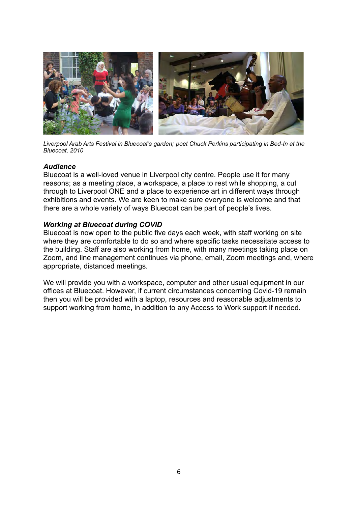

*Liverpool Arab Arts Festival in Bluecoat's garden; poet Chuck Perkins participating in Bed-In at the Bluecoat, 2010*

#### *Audience*

Bluecoat is a well-loved venue in Liverpool city centre. People use it for many reasons; as a meeting place, a workspace, a place to rest while shopping, a cut through to Liverpool ONE and a place to experience art in different ways through exhibitions and events. We are keen to make sure everyone is welcome and that there are a whole variety of ways Bluecoat can be part of people's lives.

#### *Working at Bluecoat during COVID*

Bluecoat is now open to the public five days each week, with staff working on site where they are comfortable to do so and where specific tasks necessitate access to the building. Staff are also working from home, with many meetings taking place on Zoom, and line management continues via phone, email, Zoom meetings and, where appropriate, distanced meetings.

We will provide you with a workspace, computer and other usual equipment in our offices at Bluecoat. However, if current circumstances concerning Covid-19 remain then you will be provided with a laptop, resources and reasonable adjustments to support working from home, in addition to any Access to Work support if needed.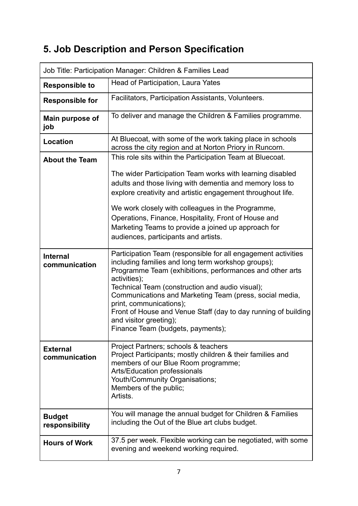## **5. Job Description and Person Specification**

| Job Title: Participation Manager: Children & Families Lead |                                                                                                                                                                                                                                                                                                                                                                                                                                                                           |
|------------------------------------------------------------|---------------------------------------------------------------------------------------------------------------------------------------------------------------------------------------------------------------------------------------------------------------------------------------------------------------------------------------------------------------------------------------------------------------------------------------------------------------------------|
| <b>Responsible to</b>                                      | Head of Participation, Laura Yates                                                                                                                                                                                                                                                                                                                                                                                                                                        |
| <b>Responsible for</b>                                     | Facilitators, Participation Assistants, Volunteers.                                                                                                                                                                                                                                                                                                                                                                                                                       |
| Main purpose of<br>job                                     | To deliver and manage the Children & Families programme.                                                                                                                                                                                                                                                                                                                                                                                                                  |
| <b>Location</b>                                            | At Bluecoat, with some of the work taking place in schools<br>across the city region and at Norton Priory in Runcorn.                                                                                                                                                                                                                                                                                                                                                     |
| <b>About the Team</b>                                      | This role sits within the Participation Team at Bluecoat.<br>The wider Participation Team works with learning disabled                                                                                                                                                                                                                                                                                                                                                    |
|                                                            | adults and those living with dementia and memory loss to<br>explore creativity and artistic engagement throughout life.                                                                                                                                                                                                                                                                                                                                                   |
|                                                            | We work closely with colleagues in the Programme,<br>Operations, Finance, Hospitality, Front of House and<br>Marketing Teams to provide a joined up approach for<br>audiences, participants and artists.                                                                                                                                                                                                                                                                  |
| <b>Internal</b><br>communication                           | Participation Team (responsible for all engagement activities<br>including families and long term workshop groups);<br>Programme Team (exhibitions, performances and other arts<br>activities);<br>Technical Team (construction and audio visual);<br>Communications and Marketing Team (press, social media,<br>print, communications);<br>Front of House and Venue Staff (day to day running of building<br>and visitor greeting);<br>Finance Team (budgets, payments); |
| <b>External</b><br>communication                           | Project Partners; schools & teachers<br>Project Participants; mostly children & their families and<br>members of our Blue Room programme;<br><b>Arts/Education professionals</b><br>Youth/Community Organisations;<br>Members of the public;<br>Artists.                                                                                                                                                                                                                  |
| <b>Budget</b><br>responsibility                            | You will manage the annual budget for Children & Families<br>including the Out of the Blue art clubs budget.                                                                                                                                                                                                                                                                                                                                                              |
| <b>Hours of Work</b>                                       | 37.5 per week. Flexible working can be negotiated, with some<br>evening and weekend working required.                                                                                                                                                                                                                                                                                                                                                                     |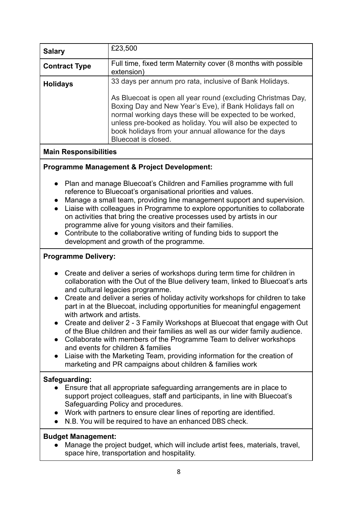| <b>Salary</b>                                                                                                                                                                                                                                                                                                                                                                                                                                                                                                                                                                                                                                                                                                                                                                                                           | £23,500                                                                                                                                                                                                                                                                                                                            |
|-------------------------------------------------------------------------------------------------------------------------------------------------------------------------------------------------------------------------------------------------------------------------------------------------------------------------------------------------------------------------------------------------------------------------------------------------------------------------------------------------------------------------------------------------------------------------------------------------------------------------------------------------------------------------------------------------------------------------------------------------------------------------------------------------------------------------|------------------------------------------------------------------------------------------------------------------------------------------------------------------------------------------------------------------------------------------------------------------------------------------------------------------------------------|
| <b>Contract Type</b>                                                                                                                                                                                                                                                                                                                                                                                                                                                                                                                                                                                                                                                                                                                                                                                                    | Full time, fixed term Maternity cover (8 months with possible<br>extension)                                                                                                                                                                                                                                                        |
| <b>Holidays</b>                                                                                                                                                                                                                                                                                                                                                                                                                                                                                                                                                                                                                                                                                                                                                                                                         | 33 days per annum pro rata, inclusive of Bank Holidays.                                                                                                                                                                                                                                                                            |
|                                                                                                                                                                                                                                                                                                                                                                                                                                                                                                                                                                                                                                                                                                                                                                                                                         | As Bluecoat is open all year round (excluding Christmas Day,<br>Boxing Day and New Year's Eve), if Bank Holidays fall on<br>normal working days these will be expected to be worked,<br>unless pre-booked as holiday. You will also be expected to<br>book holidays from your annual allowance for the days<br>Bluecoat is closed. |
| <b>Main Responsibilities</b>                                                                                                                                                                                                                                                                                                                                                                                                                                                                                                                                                                                                                                                                                                                                                                                            |                                                                                                                                                                                                                                                                                                                                    |
| <b>Programme Management &amp; Project Development:</b>                                                                                                                                                                                                                                                                                                                                                                                                                                                                                                                                                                                                                                                                                                                                                                  |                                                                                                                                                                                                                                                                                                                                    |
| Plan and manage Bluecoat's Children and Families programme with full<br>reference to Bluecoat's organisational priorities and values.<br>Manage a small team, providing line management support and supervision.<br>$\bullet$<br>Liaise with colleagues in Programme to explore opportunities to collaborate<br>$\bullet$<br>on activities that bring the creative processes used by artists in our<br>programme alive for young visitors and their families.<br>Contribute to the collaborative writing of funding bids to support the<br>development and growth of the programme.                                                                                                                                                                                                                                     |                                                                                                                                                                                                                                                                                                                                    |
| <b>Programme Delivery:</b>                                                                                                                                                                                                                                                                                                                                                                                                                                                                                                                                                                                                                                                                                                                                                                                              |                                                                                                                                                                                                                                                                                                                                    |
| • Create and deliver a series of workshops during term time for children in<br>collaboration with the Out of the Blue delivery team, linked to Bluecoat's arts<br>and cultural legacies programme.<br>Create and deliver a series of holiday activity workshops for children to take<br>part in at the Bluecoat, including opportunities for meaningful engagement<br>with artwork and artists.<br>• Create and deliver 2 - 3 Family Workshops at Bluecoat that engage with Out<br>of the Blue children and their families as well as our wider family audience.<br>Collaborate with members of the Programme Team to deliver workshops<br>and events for children & families<br>Liaise with the Marketing Team, providing information for the creation of<br>marketing and PR campaigns about children & families work |                                                                                                                                                                                                                                                                                                                                    |
| Safeguarding:<br>Ensure that all appropriate safeguarding arrangements are in place to<br>support project colleagues, staff and participants, in line with Bluecoat's<br>Safeguarding Policy and procedures.<br>Work with partners to ensure clear lines of reporting are identified.<br>$\bullet$<br>N.B. You will be required to have an enhanced DBS check.                                                                                                                                                                                                                                                                                                                                                                                                                                                          |                                                                                                                                                                                                                                                                                                                                    |
| <b>Budget Management:</b><br>Manage the project budget, which will include artist fees, materials, travel,                                                                                                                                                                                                                                                                                                                                                                                                                                                                                                                                                                                                                                                                                                              |                                                                                                                                                                                                                                                                                                                                    |

● Manage the project budget, which will include artist fees, materials, travel, space hire, transportation and hospitality.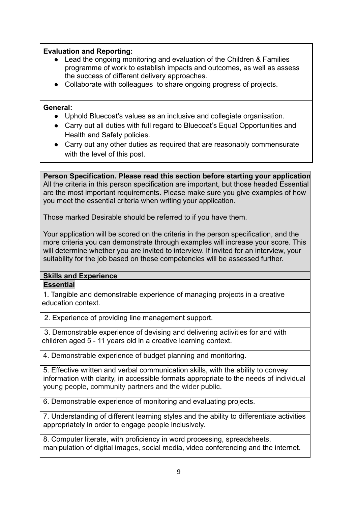#### **Evaluation and Reporting:**

- Lead the ongoing monitoring and evaluation of the Children & Families programme of work to establish impacts and outcomes, as well as assess the success of different delivery approaches.
- Collaborate with colleagues to share ongoing progress of projects.

#### **General:**

- **●** Uphold Bluecoat's values as an inclusive and collegiate organisation.
- **●** Carry out all duties with full regard to Bluecoat's Equal Opportunities and Health and Safety policies.
- **●** Carry out any other duties as required that are reasonably commensurate with the level of this post.

**Person Specification. Please read this section before starting your application** All the criteria in this person specification are important, but those headed Essential are the most important requirements. Please make sure you give examples of how you meet the essential criteria when writing your application.

Those marked Desirable should be referred to if you have them.

Your application will be scored on the criteria in the person specification, and the more criteria you can demonstrate through examples will increase your score. This will determine whether you are invited to interview. If invited for an interview, your suitability for the job based on these competencies will be assessed further.

#### **Skills and Experience Essential**

 1. Tangible and demonstrable experience of managing projects in a creative education context.

2. Experience of providing line management support.

 3. Demonstrable experience of devising and delivering activities for and with children aged 5 - 11 years old in a creative learning context.

4. Demonstrable experience of budget planning and monitoring.

5. Effective written and verbal communication skills, with the ability to convey information with clarity, in accessible formats appropriate to the needs of individual young people, community partners and the wider public.

6. Demonstrable experience of monitoring and evaluating projects.

7. Understanding of different learning styles and the ability to differentiate activities appropriately in order to engage people inclusively.

8. Computer literate, with proficiency in word processing, spreadsheets, manipulation of digital images, social media, video conferencing and the internet.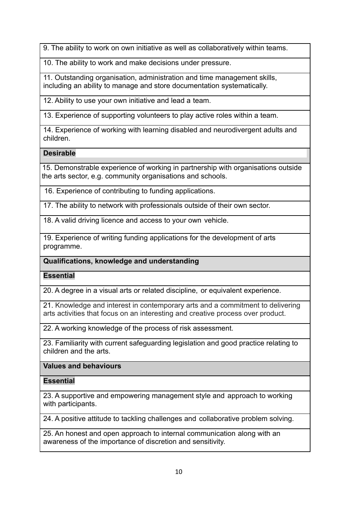9. The ability to work on own initiative as well as collaboratively within teams.

10. The ability to work and make decisions under pressure.

11. Outstanding organisation, administration and time management skills, including an ability to manage and store documentation systematically.

12. Ability to use your own initiative and lead a team.

13. Experience of supporting volunteers to play active roles within a team.

14. Experience of working with learning disabled and neurodivergent adults and children.

## **Desirable**

15. Demonstrable experience of working in partnership with organisations outside the arts sector, e.g. community organisations and schools.

16. Experience of contributing to funding applications.

17. The ability to network with professionals outside of their own sector.

18. A valid driving licence and access to your own vehicle.

19. Experience of writing funding applications for the development of arts programme.

## **Qualifications, knowledge and understanding**

**Essential**

20. A degree in a visual arts or related discipline, or equivalent experience.

21. Knowledge and interest in contemporary arts and a commitment to delivering arts activities that focus on an interesting and creative process over product.

22. A working knowledge of the process of risk assessment.

23. Familiarity with current safeguarding legislation and good practice relating to children and the arts.

## **Values and behaviours**

**Essential**

23. A supportive and empowering management style and approach to working with participants.

24. A positive attitude to tackling challenges and collaborative problem solving.

25. An honest and open approach to internal communication along with an awareness of the importance of discretion and sensitivity.